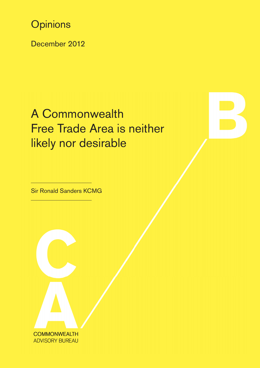**Opinions** 

December 2012

# A Commonwealth Free Trade Area is neither likely nor desirable

Sir Ronald Sanders KCMG

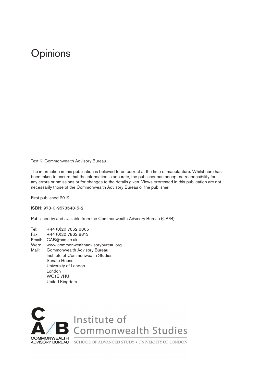## **Opinions**

Text © Commonwealth Advisory Bureau

The information in this publication is believed to be correct at the time of manufacture. Whilst care has been taken to ensure that the information is accurate, the publisher can accept no responsibility for any errors or omissions or for changes to the details given. Views expressed in this publication are not necessarily those of the Commonwealth Advisory Bureau or the publisher.

First published 2012

ISBN: 978-0-9573548-5-2

Published by and available from the Commonwealth Advisory Bureau (CA/B)

Tel: +44 (0)20 7862 8865 Fax: +44 (0)20 7862 8813 Email: CAB@sas.ac.uk Web: www.commonwealthadvisorybureau.org Mail: Commonwealth Advisory Bureau Institute of Commonwealth Studies Senate House University of London London WC1E 7HU United Kingdom



Institute of<br>Commonwealth Studies

ADVISORY BUREAU SCHOOL OF ADVANCED STUDY . UNIVERSITY OF LONDON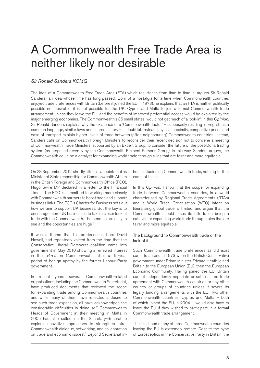## A Commonwealth Free Trade Area is neither likely nor desirable

#### *Sir Ronald Sanders KCMG*

The idea of a Commonwealth Free Trade Area (FTA) which resurfaces from time to time is, argues Sir Ronald Sanders, 'an idea whose time has long passed'. Born of a nostalgia for a time when Commonwealth countries enjoyed trade preferences with Britain (before it joined the EU in 1973), he explains that an FTA is neither politically possible nor desirable: it is not possible for the UK, Cyprus and Malta to join a formal Commonwealth trade arrangement unless they leave the EU, and the benefits of improved preferential access would be exploited by the major emerging economies. The Commonwealth's 36 small states 'would not get much of a look-in'. In this *Opinion*, Sir Ronald Sanders explains why the existence of a 'Commonwealth factor' – supposedly residing in English as a common language, similar laws and shared history – is doubtful. Instead, physical proximity, competitive prices and ease of transport explain higher levels of trade between (often neighbouring) Commonwealth countries. Instead, Sanders calls on Commonwealth Foreign Ministers to reconsider their recent decision not to convene a meeting of Commonwealth Trade Ministers, supported by an Expert Group, to consider the future of the post-Doha trading system (as proposed recently by the Commonwealth Eminent Persons Group). In this way, Sanders argues, the Commonwealth could be a catalyst for expanding world trade through rules that are fairer and more equitable.

On 28 September 2012, shortly after his appointment as Minister of State responsible for Commonwealth Affairs in the British Foreign and Commonwealth Office (FCO), Hugo Swire MP declared in a letter to the Financial Times: 'The FCO is committed to working more closely with Commonwealth partners to boost trade and support business links. The FCO's Charter for Business sets out how we aim to support UK business. But the key is to encourage more UK businesses to take a closer look at trade with the Commonwealth. The benefits are easy to see and the opportunities are huge'.<sup>1</sup>

It was a theme that his predecessor, Lord David Howell, had repeatedly voiced from the time that the Conservative-Liberal Democrat coalition came into government in May 2010 showing a renewed interest in the 54-nation Commonwealth after a 15-year period of benign apathy by the former Labour Party government.

In recent years several Commonwealth-related organisations, including the Commonwealth Secretariat, have produced documents that reviewed the scope for expanding trade among Commonwealth countries and while many of them have reflected a desire to see such trade expansion, all have acknowledged the considerable difficulties in doing so.2 Commonwealth Heads of Government at their meeting in Malta in 2005 had also called 'on the Secretary-General to explore innovative approaches to strengthen intra-Commonwealth dialogue, networking, and collaboration on trade and economic issues'.3 Beyond Secretariat in-

house studies on Commonwealth trade, nothing further came of this call.

In this *Opinion*, I show that the scope for expanding trade between Commonwealth countries, in a world characterised by Regional Trade Agreements (RTAs) and a World Trade Organisation (WTO) intent on liberalising global trade is limited, and argue that the Commonwealth should focus its efforts on being a catalyst for expanding world trade through rules that are fairer and more equitable.

#### The background to Commonwealth trade or the lack of it

Such Commonwealth trade preferences as did exist came to an end in 1973 when the British Conservative government under Prime Minister Edward Heath joined Britain to the European Union (EU), then the European Economic Community. Having joined the EU, Britain cannot independently negotiate or settle a free trade agreement with Commonwealth countries or any other country or groups of countries unless it severs its legally binding arrangements with the EU. Two other Commonwealth countries, Cyprus and Malta – both of which joined the EU in 2004 – would also have to leave the EU if they wished to participate in a formal Commonwealth trade arrangement.

The likelihood of any of three Commonwealth countries leaving the EU is extremely remote. Despite the hype of Eurosceptics in the Conservative Party in Britain, the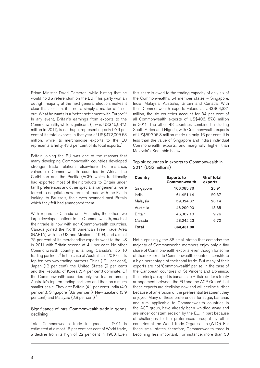Prime Minister David Cameron, while hinting that he would hold a referendum on the EU if his party won an outright majority at the next general election, makes it clear that, for him, it is not a simply a matter of 'in or out'. What he wants is a 'better settlement with Europe'.4 In any event, Britain's earnings from exports to the Commonwealth, while significant (it was US\$46,087.1 million in 2011), is not huge, representing only 9.76 per cent of its total exports in that year of US\$472,095.63 million, while its merchandise exports to the EU represents a hefty 43.6 per cent of its total exports.5

Britain joining the EU was one of the reasons that many developing Commonwealth countries developed stronger trade relations elsewhere. For instance, vulnerable Commonwealth countries in Africa, the Caribbean and the Pacific (ACP), which traditionally had exported most of their products to Britain under tariff preferences and other special arrangements, were forced to negotiate new terms of trade with the EU. In looking to Brussels, their eyes scanned past Britain which they felt had abandoned them.

With regard to Canada and Australia, the other two large developed nations in the Commonwealth, much of their trade is now with non-Commonwealth countries. Canada joined the North American Free Trade Area (NAFTA) with the US and Mexico in 1994, and almost 75 per cent of its merchandise exports went to the US in 2011 with Britain second at 4.1 per cent. No other Commonwealth country is among Canada's top 10 trading partners.<sup>6</sup> In the case of Australia, in 2010, of its top ten two-way trading partners China (19.1 per cent), Japan (12 per cent), the United States (9 per cent) and the Republic of Korea (5.4 per cent) dominate. Of the Commonwealth countries only five feature among Australia's top ten trading partners and then on a much smaller scale. They are: Britain (4.1 per cent), India (4.0 per cent), Singapore (3.9 per cent), New Zealand (3.9 per cent) and Malaysia (2.8 per cent).<sup>7</sup>

#### Significance of intra-Commonwealth trade in goods declining

Total Commonwealth trade in goods in 2011 is estimated at almost 18 per cent per cent of World trade, a decline from its high of 22 per cent in 1960. Even

this share is owed to the trading capacity of only six of the Commonwealth's 54 member states – Singapore, India, Malaysia, Australia, Britain and Canada. With their Commonwealth exports valued at US\$364,381 million, the six countries account for 84 per cent of all Commonwealth exports of US\$406,187.8 million in 2011. The other 48 countries combined, including South Africa and Nigeria, with Commonwealth exports of US\$59,706.8 million made up only 16 per cent. It is less than the value of Singapore and India's individual Commonwealth exports, and marginally higher than Malaysia's. See table below:

#### Top six countries in exports to Commonwealth in 2011 (US\$ millions)

| <b>Country</b> | <b>Exports to</b><br><b>Commonwealth</b> | % of total<br>exports |
|----------------|------------------------------------------|-----------------------|
| Singapore      | 106,085.76                               | 25.91                 |
| India          | 61,421.14                                | 20.37                 |
| Malaysia       | 59,324.87                                | 26.14                 |
| Australia      | 46,299.90                                | 18.85                 |
| <b>Britain</b> | 46,087.10                                | 9.76                  |
| Canada         | 28,242.23                                | 6.70                  |
| <b>Total</b>   | 364.481.00                               |                       |

Not surprisingly, the 36 small states that comprise the majority of Commonwealth members enjoy only a tiny share of Commonwealth exports, even though for some of them exports to Commonwealth countries constitute a high percentage of their total trade. But many of their exports are not 'Commonwealth' per se. In the case of the Caribbean countries of St Vincent and Dominica, their principal export is bananas to Britain under a treaty arrangement between the EU and the ACP Group<sup>8</sup>, but these exports are declining now and will decline further because of an erosion of the preferential treatment they enjoyed. Many of these preferences for sugar, bananas and rum, applicable to Commonwealth countries in the ACP group, have already been whittled away and are under constant erosion by the EU, in part because of challenges to the preferences brought by other countries at the World Trade Organisation (WTO). For these small states, therefore, Commonwealth trade is becoming less important. For instance, more than 50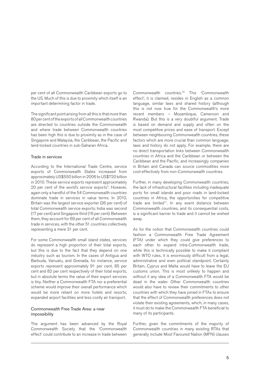per cent of all Commonwealth Caribbean exports go to the US. Much of this is due to proximity which itself is an important determining factor in trade.

The significant point arising from all this is that more than 80 per cent of the exports of all Commonwealth countries are directed to countries outside the Commonwealth and where trade between Commonwealth countries has been high this is due to proximity as in the case of Singapore and Malaysia, the Caribbean, the Pacific and land-locked countries in sub-Saharan Africa.

#### Trade in services

According to the International Trade Centre, service exports of Commonwealth States increased from approximately US\$550 billion in 2006 to US\$720 billion in 2010. These service exports represent approximately 20 per cent of the world's service exports<sup>9</sup>. However, again only a handful of the 54 Commonwealth countries dominate trade in services in value terms. In 2010, Britain was the largest service exporter (36 per cent) of total Commonwealth service exports; India was second (17 per cent) and Singapore third (16 per cent). Between them, they account for 69 per cent of all Commonwealth trade in services, with the other 51 countries collectively representing a mere 31 per cent.

For some Commonwealth small island states, services do represent a high proportion of their total exports, but this is due to the fact that they depend on one industry such as tourism. In the cases of Antigua and Barbuda, Vanuatu, and Grenada, for instance, service exports represent approximately 91 per cent, 85 per cent and 82 per cent respectively of their total exports, but in absolute terms the value of their export services is tiny. Neither a Commonwealth FTA nor a preferential scheme would improve their overall performance which would be more reliant on more hotels and resorts, expanded airport facilities and less costly air transport.

#### Commonwealth Free Trade Area: a near impossibility

The argument has been advanced by the Royal Commonwealth Society that the 'Commonwealth effect' could contribute to an increase in trade between

Commonwealth countries.10 This 'Commonwealth effect', it is claimed, resides in English as a common language, similar laws and shared history (although this is not now true for the Commonwealth's more recent members – Mozambique, Cameroon and Rwanda). But this is a very doubtful argument. Trade is based on demand and supply and often on the most competitive prices and ease of transport. Except between neighbouring Commonwealth countries, these factors which are more crucial than common language, laws and history do not apply. For example, there are no direct transportation links between Commonwealth countries in Africa and the Caribbean or between the Caribbean and the Pacific, and increasingly companies in Britain and Canada can source commodities more cost-effectively from non-Commonwealth countries.

Further, in many developing Commonwealth countries, the lack of infrastructural facilities including inadequate ports for small islands and poor roads in land-locked countries in Africa, the opportunities for competitive trade are limited<sup>11</sup>. In any event distance between Commonwealth countries, and its consequential costs, is a significant barrier to trade and it cannot be wished away.

As for the notion that Commonwealth countries could fashion a Commonwealth Free Trade Agreement (FTA) under which they could give preferences to each other to expand intra-Commonwealth trade, while this is technically possible to make it compliant with WTO rules, it is enormously difficult from a legal, administrative and even political standpoint. Certainly Britain, Cyprus and Malta would have to leave the EU customs union. This is most unlikely to happen and without it any idea of a Commonwealth FTA would be dead in the water. Other Commonwealth countries would also have to review their commitments to other countries with which they have joined in FTAs to ensure that the effect of Commonwealth preferences does not violate their existing agreements, which, in many cases, it must do to make the Commonwealth FTA beneficial to many of its participants.

Further, given the commitments of the majority of Commonwealth countries in many existing RTAs that generally include Most Favoured Nation (MFN) clauses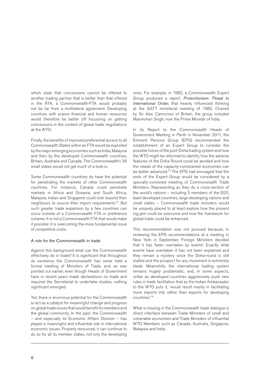which state that concessions cannot be offered to another trading partner that is better than that offered in the RTA, a Commonwealth-FTA would probably not be far from a multilateral agreement. Developing countries with scarce financial and human resources would therefore be better off focussing on getting concessions in the context of global trade negotiations at the WTO.

Finally, the benefits of improved preferential access to all Commonwealth States within an FTA would be exploited by the major emerging economies such as India, Malaysia and then by the developed Commonwealth countries, Britain, Australia and Canada. The Commonwealth's 36 small states would not get much of a look-in.

Some Commonwealth countries do have the potential for penetrating the markets of other Commonwealth countries. For instance, Canada could penetrate markets in Africa and Oceania, and South Africa, Malaysia, Indian and Singapore could look beyond their neighbours to source their import requirements<sup>12</sup>. But such greater trade expansion by a few countries can occur outside of a Commonwealth FTA or preference scheme. It is not a Commonwealth FTA that would make it possible: it is overcoming the more fundamental issue of competitive costs.

#### A role for the Commonwealth in trade

Against this background what can the Commonwealth effectively do in trade? It is significant that throughout its existence the Commonwealth has never held a formal meeting of Ministers of Trade, and, as was pointed out earlier, even though Heads of Government have in recent years made declarations on trade and required the Secretariat to undertake studies, nothing significant emerged.

Yet, there is enormous potential for the Commonwealth to act as a catalyst for meaningful change and progress on global trade issues that would benefit its members and the global community. In the past, the Commonwealth – and especially its Economic Affairs Division – has played a meaningful and influential role in international economic issues. Properly resourced, it can continue to do so for all its member states, not only the developing

ones. For example, in 1982, a Commonwealth Expert Group produced a report, *Protectionism: Threat to International Order*, that heavily influenced thinking at the GATT ministerial meeting of 1982. Chaired by Sir Alec Cairncross of Britain, the group included Manmohan Singh, now the Prime Minister of India.

In its Report to the Commonwealth Heads of Government Meeting in Perth in November 2011, the Eminent Persons Group (EPG) recommended the establishment of an Expert Group to consider the possible future of the post-Doha trading system and how the WTO might be reformed to identify how the adverse features of the Doha Round could be avoided and how the needs of the capacity-constrained economies can be better advanced.<sup>13</sup> The EPG had envisaged that the work of the Expert Group would be considered by a specially-convened meeting of Commonwealth Trade Ministers. Representing as they do a cross-section of the world's nations – including 5 members of the G20, least developed countries, large developing nations and small states – Commonwealth trade ministers would be uniquely placed to at least explore how the present log-jam could be overcome and how the framework for global trade could be enhanced.

This recommendation was not pursued because, in reviewing the EPG recommendations at a meeting in New York in September, Foreign Ministers decided that it has 'been overtaken by events'. Exactly what events have overtaken it has not been explained and they remain a mystery since the Doha-round is still stalled and the prospect for any movement is extremely bleak. Meanwhile, the international trading system remains hugely problematic, and, in some aspects, unfair as developed countries aggressively push new rules in trade facilitation that as the Indian Ambassador to the WTO puts it, 'would result mainly in facilitating more imports into rather than exports for developing countries.'14

What is missing in the Commonwealth trade dialogue is direct interface between Trade Ministers of small and vulnerable economies and Trade Ministers of influential WTO Members such as Canada, Australia, Singapore, Malaysia and India.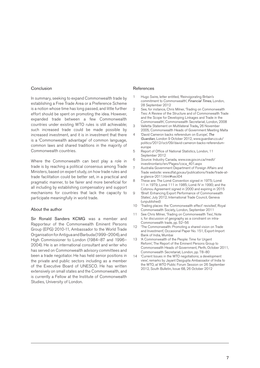#### Conclusion

In summary, seeking to expand Commonwealth trade by establishing a Free Trade Area or a Preference Scheme is a notion whose time has long passed, and little further effort should be spent on promoting the idea. However, expanded trade between a few Commonwealth countries under existing WTO rules is still achievable; such increased trade could be made possible by increased investment, and it is in investment that there is a 'Commonwealth advantage' of common language, common laws and shared traditions in the majority of Commonwealth countries.

Where the Commonwealth can best play a role in trade is by reaching a political consensus among Trade Ministers, based on expert study, on how trade rules and trade facilitation could be better set, in a practical and pragmatic manner, to be fairer and more beneficial for all including by establishing compensatory and support mechanisms for countries that lack the capacity to participate meaningfully in world trade.

#### About the author

Sir Ronald Sanders KCMG was a member and Rapporteur of the Commonwealth Eminent Persons Group (EPG) 2010-11, Ambassador to the World Trade Organisation for Antigua and Barbuda (1999–2004), and High Commissioner to London (1984–87 and 1996– 2004). He is an international consultant and writer who has served on Commonwealth advisory committees and been a trade negotiator. He has held senior positions in the private and public sectors including as a member of the Executive Board of UNESCO. He has written extensively on small states and the Commonwealth, and is currently a Fellow at the Institute of Commonwealth Studies, University of London.

#### **References**

- Hugo Swire, letter entitled, 'Reinvigorating Britain's commitment to Commonwealth', *Financial Times*, London, 28 September 2012
- 2 See, for instance, Chris Milner, 'Trading on Commonwealth Ties: A Review of the Structure and of Commonwealth Trade and the Scope for Developing Linkages and Trade in the Commonwealth', Commonwealth Secretariat, London, 2008
- 3 Valletta Statement on Multilateral Trade**,** 26 November 2005, Commonwealth Heads of Government Meeting Malta
- 4 'David Cameron backs referendum on Europe', *The Guardian*, London 9 October 2012, www.guardian.co.uk/ politics/2012/oct/09/david-cameron-backs-referendumeurope
- 5 Report of Office of National Statistics, London, 11 September 2012
- 6 Source: Industry Canada, www.sse.gov.on.ca/medt/ investinontario/en/Pages/coca\_401.aspx
- 7 Australia Government Department of Foreign Affairs and Trade website: www.dfat.gov.au/publications/trade/trade-ata-glance-2011.html#sect04
- 8 These are: The Lomé Convention signed in 1975; Lomé 11 in 1979; Lomé 111 in 1985; Lomé IV in 1990; and the Cotonou Agreement signed in 2000 and expiring in 2015
- 9 'Brief: Enhancing Export Performance of Commonwealth States', July 2012, International Trade Council, Geneva (unpublished)
- 10 'Trading places: the 'Commonwealth effect' revisited', Royal Commonwealth Society, London, September 2011
- 11 See Chris Milner, 'Trading on Commonwealth Ties', Note ii, for discussion of geography as a constraint on intra-Commonwealth trade, pp. 52–56
- 12 'The Commonwealth: Promoting a shared vision on Trade and Investment', Occasional Paper No. 151, Export-Import Bank of India, Mumbai
- 13 'A Commonwealth of the People: Time for Urgent Reform', The Report of the Eminent Persons Group to Commonwealth Heads of Government, Perth, October 2011, Commonwealth Secretariat, London, pp. 78–80
- 14 'Current Issues in the WTO negotiations; a development view', remarks by Jayant Dasgupta Ambassador of India to the WTO, at WTO Public Forum Session on 26 September 2012, South Bulletin, Issue 68, 26 October 2012